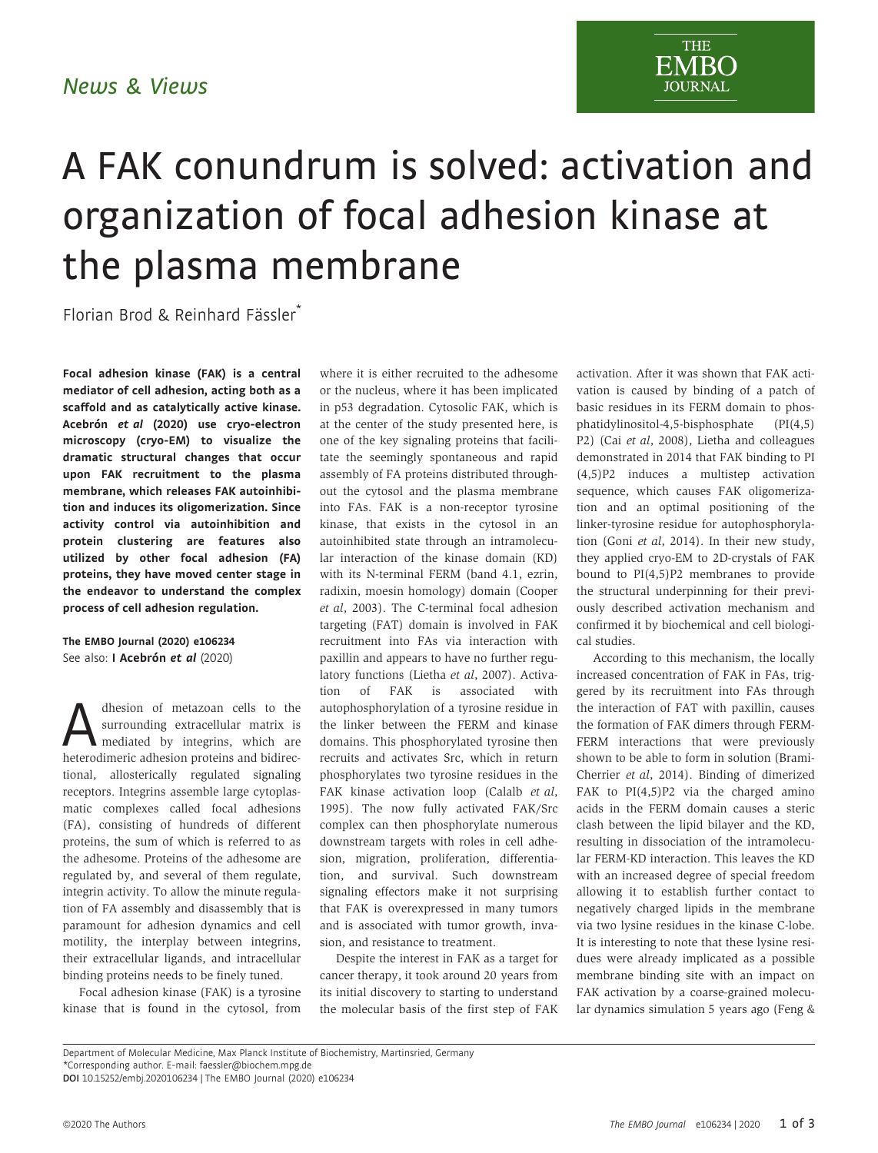**THE EMBO JOURNAL** 

## A FAK conundrum is solved: activation and organization of focal adhesion kinase at the plasma membrane

Florian Brod & Reinhard Fässler\*

Focal adhesion kinase (FAK) is a central mediator of cell adhesion, acting both as a scaffold and as catalytically active kinase. Acebrón et al (2020) use cryo-electron microscopy (cryo-EM) to visualize the dramatic structural changes that occur upon FAK recruitment to the plasma membrane, which releases FAK autoinhibition and induces its oligomerization. Since activity control via autoinhibition and protein clustering are features also utilized by other focal adhesion (FA) proteins, they have moved center stage in the endeavor to understand the complex process of cell adhesion regulation.

The EMBO Journal (2020) e106234 See also: [I Acebrón](https://doi.org/10.15252/embj.2020104743) e[t al](https://doi.org/10.15252/embj.2020104743) (2020)

dhesion of metazoan cells to the<br>surrounding extracellular matrix is<br>mediated by integrins, which are<br>heterodimeric adhesion proteins and bidirecsurrounding extracellular matrix is mediated by integrins, which are heterodimeric adhesion proteins and bidirectional, allosterically regulated signaling receptors. Integrins assemble large cytoplasmatic complexes called focal adhesions (FA), consisting of hundreds of different proteins, the sum of which is referred to as the adhesome. Proteins of the adhesome are regulated by, and several of them regulate, integrin activity. To allow the minute regulation of FA assembly and disassembly that is paramount for adhesion dynamics and cell motility, the interplay between integrins, their extracellular ligands, and intracellular binding proteins needs to be finely tuned.

Focal adhesion kinase (FAK) is a tyrosine kinase that is found in the cytosol, from where it is either recruited to the adhesome or the nucleus, where it has been implicated in p53 degradation. Cytosolic FAK, which is at the center of the study presented here, is one of the key signaling proteins that facilitate the seemingly spontaneous and rapid assembly of FA proteins distributed throughout the cytosol and the plasma membrane into FAs. FAK is a non-receptor tyrosine kinase, that exists in the cytosol in an autoinhibited state through an intramolecular interaction of the kinase domain (KD) with its N-terminal FERM (band 4.1, ezrin, radixin, moesin homology) domain (Cooper et al, 2003). The C-terminal focal adhesion targeting (FAT) domain is involved in FAK recruitment into FAs via interaction with paxillin and appears to have no further regulatory functions (Lietha et al, 2007). Activation of FAK is associated with autophosphorylation of a tyrosine residue in the linker between the FERM and kinase domains. This phosphorylated tyrosine then recruits and activates Src, which in return phosphorylates two tyrosine residues in the FAK kinase activation loop (Calalb et al, 1995). The now fully activated FAK/Src complex can then phosphorylate numerous downstream targets with roles in cell adhesion, migration, proliferation, differentiation, and survival. Such downstream signaling effectors make it not surprising that FAK is overexpressed in many tumors and is associated with tumor growth, invasion, and resistance to treatment.

Despite the interest in FAK as a target for cancer therapy, it took around 20 years from its initial discovery to starting to understand the molecular basis of the first step of FAK activation. After it was shown that FAK activation is caused by binding of a patch of basic residues in its FERM domain to phosphatidylinositol-4,5-bisphosphate (PI(4,5) P2) (Cai et al, 2008), Lietha and colleagues demonstrated in 2014 that FAK binding to PI (4,5)P2 induces a multistep activation sequence, which causes FAK oligomerization and an optimal positioning of the linker-tyrosine residue for autophosphorylation (Goni et al, 2014). In their new study, they applied cryo-EM to 2D-crystals of FAK bound to PI(4,5)P2 membranes to provide the structural underpinning for their previously described activation mechanism and confirmed it by biochemical and cell biological studies.

According to this mechanism, the locally increased concentration of FAK in FAs, triggered by its recruitment into FAs through the interaction of FAT with paxillin, causes the formation of FAK dimers through FERM-FERM interactions that were previously shown to be able to form in solution (Brami-Cherrier et al, 2014). Binding of dimerized FAK to  $PI(4,5)P2$  via the charged amino acids in the FERM domain causes a steric clash between the lipid bilayer and the KD, resulting in dissociation of the intramolecular FERM-KD interaction. This leaves the KD with an increased degree of special freedom allowing it to establish further contact to negatively charged lipids in the membrane via two lysine residues in the kinase C-lobe. It is interesting to note that these lysine residues were already implicated as a possible membrane binding site with an impact on FAK activation by a coarse-grained molecular dynamics simulation 5 years ago (Feng &

Department of Molecular Medicine, Max Planck Institute of Biochemistry, Martinsried, Germany

<sup>\*</sup>Corresponding author. E-mail: faessler@biochem.mpg.de

DOI 10.15252/embj.2020106234 | The EMBO Journal (2020) e106234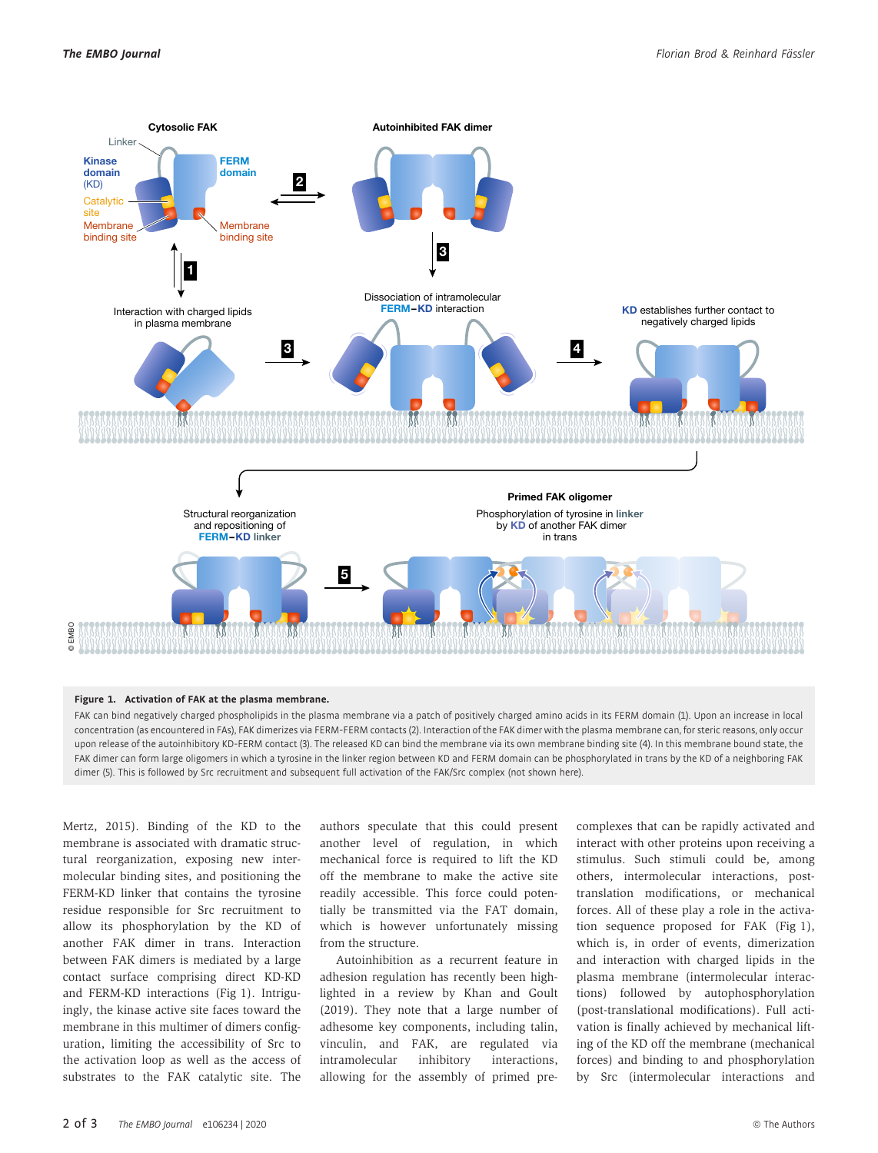

## Figure 1. Activation of FAK at the plasma membrane.

FAK can bind negatively charged phospholipids in the plasma membrane via a patch of positively charged amino acids in its FERM domain (1). Upon an increase in local concentration (as encountered in FAs), FAK dimerizes via FERM-FERM contacts (2). Interaction of the FAK dimer with the plasma membrane can, for steric reasons, only occur upon release of the autoinhibitory KD-FERM contact (3). The released KD can bind the membrane via its own membrane binding site (4). In this membrane bound state, the FAK dimer can form large oligomers in which a tyrosine in the linker region between KD and FERM domain can be phosphorylated in trans by the KD of a neighboring FAK dimer (5). This is followed by Src recruitment and subsequent full activation of the FAK/Src complex (not shown here).

Mertz, 2015). Binding of the KD to the membrane is associated with dramatic structural reorganization, exposing new intermolecular binding sites, and positioning the FERM-KD linker that contains the tyrosine residue responsible for Src recruitment to allow its phosphorylation by the KD of another FAK dimer in trans. Interaction between FAK dimers is mediated by a large contact surface comprising direct KD-KD and FERM-KD interactions (Fig 1). Intriguingly, the kinase active site faces toward the membrane in this multimer of dimers configuration, limiting the accessibility of Src to the activation loop as well as the access of substrates to the FAK catalytic site. The authors speculate that this could present another level of regulation, in which mechanical force is required to lift the KD off the membrane to make the active site readily accessible. This force could potentially be transmitted via the FAT domain, which is however unfortunately missing from the structure.

Autoinhibition as a recurrent feature in adhesion regulation has recently been highlighted in a review by Khan and Goult (2019). They note that a large number of adhesome key components, including talin, vinculin, and FAK, are regulated via intramolecular inhibitory interactions, allowing for the assembly of primed precomplexes that can be rapidly activated and interact with other proteins upon receiving a stimulus. Such stimuli could be, among others, intermolecular interactions, posttranslation modifications, or mechanical forces. All of these play a role in the activation sequence proposed for FAK (Fig 1), which is, in order of events, dimerization and interaction with charged lipids in the plasma membrane (intermolecular interactions) followed by autophosphorylation (post-translational modifications). Full activation is finally achieved by mechanical lifting of the KD off the membrane (mechanical forces) and binding to and phosphorylation by Src (intermolecular interactions and